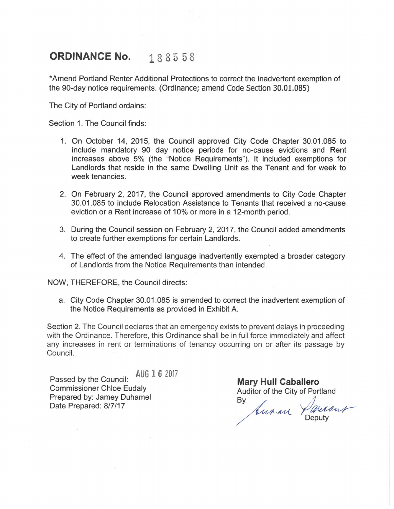## **ORDINANCE No.** 188558

\* Amend Portland Renter Additional Protections to correct the inadvertent exemption of the 90-day notice requirements. (Ordinance; amend Code Section 30.01.085)

The City of Portland ordains:

Section 1. The Council finds:

- 1. On October 14, 2015, the Council approved City Code Chapter 30.01 .085 to include mandatory 90 day notice periods for no-cause evictions and Rent increases above 5% (the "Notice Requirements"). It included exemptions for Landlords that reside in the same Dwelling Unit as the Tenant and for week to week tenancies.
- 2. On February 2, 2017, the Council approved amendments to City Code Chapter 30.01 .085 to include Relocation Assistance to Tenants that received a no-cause eviction or a Rent increase of 10% or more in a 12-month period.
- 3. During the Council session on February 2, 2017, the Council added amendments to create further exemptions for certain Landlords.
- 4. The effect of the amended language inadvertently exempted a broader category of Landlords from the Notice Requirements than intended.

NOW, THEREFORE, the Council directs:

a. City Code Chapter 30.01 .085 is amended to correct the inadvertent exemption of the Notice Requirements as provided in Exhibit A.

Section 2. The Council declares that an emergency exists to prevent delays in proceeding with the Ordinance. Therefore, this Ordinance shall be in full force immediately and affect any increases in rent or terminations of tenancy occurring on or after its passage by Council.

. AUG 16 2017 Passed by the Council: Commissioner Chloe Eudaly Prepared by: Jamey Duhamel Date Prepared: 8/7/17

**Mary Hull Caballero**  Auditor of the City of Portland<br>By

an *Laurent*